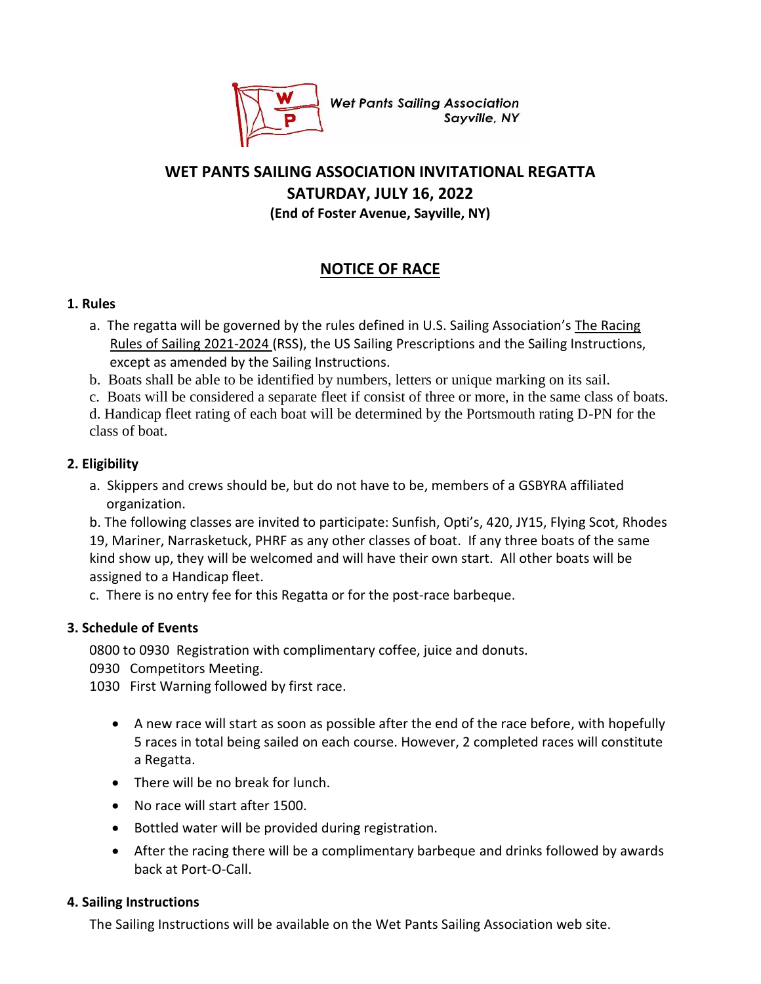

**Wet Pants Sailing Association** Sayville, NY

# **WET PANTS SAILING ASSOCIATION INVITATIONAL REGATTA SATURDAY, JULY 16, 2022 (End of Foster Avenue, Sayville, NY)**

# **NOTICE OF RACE**

### **1. Rules**

- a. The regatta will be governed by the rules defined in U.S. Sailing Association's The Racing Rules of Sailing 2021-2024 (RSS), the US Sailing Prescriptions and the Sailing Instructions, except as amended by the Sailing Instructions.
- b. Boats shall be able to be identified by numbers, letters or unique marking on its sail.
- c. Boats will be considered a separate fleet if consist of three or more, in the same class of boats.

d. Handicap fleet rating of each boat will be determined by the Portsmouth rating D-PN for the class of boat.

# **2. Eligibility**

a. Skippers and crews should be, but do not have to be, members of a GSBYRA affiliated organization.

b. The following classes are invited to participate: Sunfish, Opti's, 420, JY15, Flying Scot, Rhodes 19, Mariner, Narrasketuck, PHRF as any other classes of boat. If any three boats of the same kind show up, they will be welcomed and will have their own start. All other boats will be assigned to a Handicap fleet.

c. There is no entry fee for this Regatta or for the post-race barbeque.

# **3. Schedule of Events**

0800 to 0930 Registration with complimentary coffee, juice and donuts.

- 0930 Competitors Meeting.
- 1030 First Warning followed by first race.
	- A new race will start as soon as possible after the end of the race before, with hopefully 5 races in total being sailed on each course. However, 2 completed races will constitute a Regatta.
	- There will be no break for lunch.
	- No race will start after 1500.
	- Bottled water will be provided during registration.
	- After the racing there will be a complimentary barbeque and drinks followed by awards back at Port-O-Call.

# **4. Sailing Instructions**

The Sailing Instructions will be available on the Wet Pants Sailing Association web site.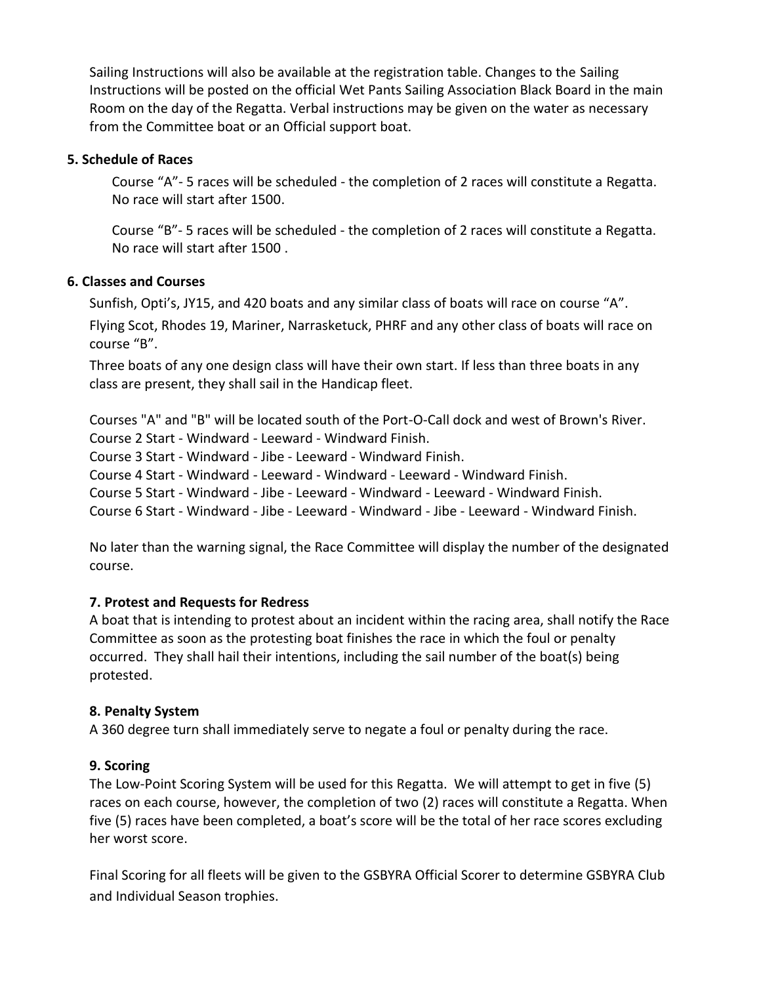Sailing Instructions will also be available at the registration table. Changes to the Sailing Instructions will be posted on the official Wet Pants Sailing Association Black Board in the main Room on the day of the Regatta. Verbal instructions may be given on the water as necessary from the Committee boat or an Official support boat.

#### **5. Schedule of Races**

Course "A"- 5 races will be scheduled - the completion of 2 races will constitute a Regatta. No race will start after 1500.

Course "B"- 5 races will be scheduled - the completion of 2 races will constitute a Regatta. No race will start after 1500 .

#### **6. Classes and Courses**

Sunfish, Opti's, JY15, and 420 boats and any similar class of boats will race on course "A". Flying Scot, Rhodes 19, Mariner, Narrasketuck, PHRF and any other class of boats will race on course "B".

Three boats of any one design class will have their own start. If less than three boats in any class are present, they shall sail in the Handicap fleet.

Courses "A" and "B" will be located south of the Port-O-Call dock and west of Brown's River. Course 2 Start - Windward - Leeward - Windward Finish. Course 3 Start - Windward - Jibe - Leeward - Windward Finish. Course 4 Start - Windward - Leeward - Windward - Leeward - Windward Finish. Course 5 Start - Windward - Jibe - Leeward - Windward - Leeward - Windward Finish. Course 6 Start - Windward - Jibe - Leeward - Windward - Jibe - Leeward - Windward Finish.

No later than the warning signal, the Race Committee will display the number of the designated course.

### **7. Protest and Requests for Redress**

A boat that is intending to protest about an incident within the racing area, shall notify the Race Committee as soon as the protesting boat finishes the race in which the foul or penalty occurred. They shall hail their intentions, including the sail number of the boat(s) being protested.

#### **8. Penalty System**

A 360 degree turn shall immediately serve to negate a foul or penalty during the race.

### **9. Scoring**

The Low-Point Scoring System will be used for this Regatta. We will attempt to get in five (5) races on each course, however, the completion of two (2) races will constitute a Regatta. When five (5) races have been completed, a boat's score will be the total of her race scores excluding her worst score.

Final Scoring for all fleets will be given to the GSBYRA Official Scorer to determine GSBYRA Club and Individual Season trophies.